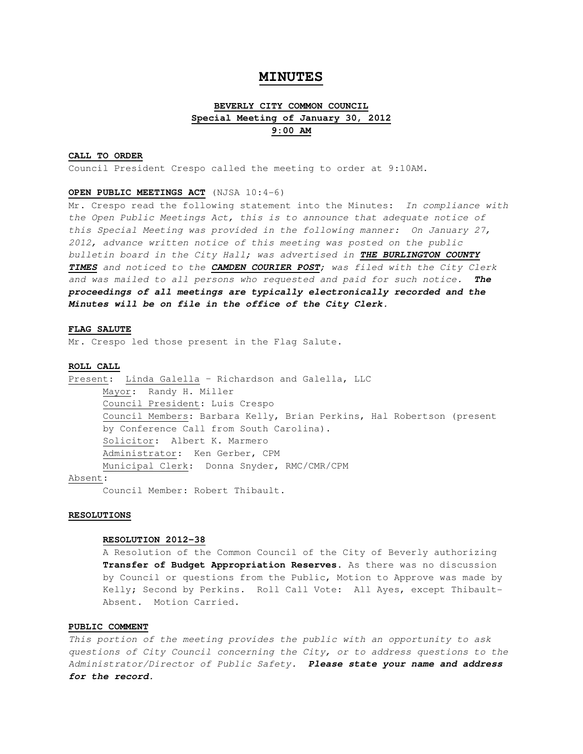## **MINUTES**

# **BEVERLY CITY COMMON COUNCIL Special Meeting of January 30, 2012 9:00 AM**

## **CALL TO ORDER**

Council President Crespo called the meeting to order at 9:10AM.

#### **OPEN PUBLIC MEETINGS ACT** (NJSA 10:4-6)

Mr. Crespo read the following statement into the Minutes: In compliance with the Open Public Meetings Act, this is to announce that adequate notice of this Special Meeting was provided in the following manner: On January 27, 2012, advance written notice of this meeting was posted on the public bulletin board in the City Hall; was advertised in **THE BURLINGTON COUNTY TIMES** and noticed to the **CAMDEN COURIER POST**; was filed with the City Clerk and was mailed to all persons who requested and paid for such notice. **The proceedings of all meetings are typically electronically recorded and the Minutes will be on file in the office of the City Clerk.** 

## **FLAG SALUTE**

Mr. Crespo led those present in the Flag Salute.

## **ROLL CALL**

Present: Linda Galella – Richardson and Galella, LLC Mayor: Randy H. Miller Council President: Luis Crespo Council Members: Barbara Kelly, Brian Perkins, Hal Robertson (present by Conference Call from South Carolina). Solicitor: Albert K. Marmero Administrator: Ken Gerber, CPM Municipal Clerk: Donna Snyder, RMC/CMR/CPM

## Absent:

Council Member: Robert Thibault.

#### **RESOLUTIONS**

## **RESOLUTION 2012-38**

A Resolution of the Common Council of the City of Beverly authorizing **Transfer of Budget Appropriation Reserves**. As there was no discussion by Council or questions from the Public, Motion to Approve was made by Kelly; Second by Perkins. Roll Call Vote: All Ayes, except Thibault-Absent. Motion Carried.

## **PUBLIC COMMENT**

This portion of the meeting provides the public with an opportunity to ask questions of City Council concerning the City, or to address questions to the Administrator/Director of Public Safety. **Please state your name and address for the record.**